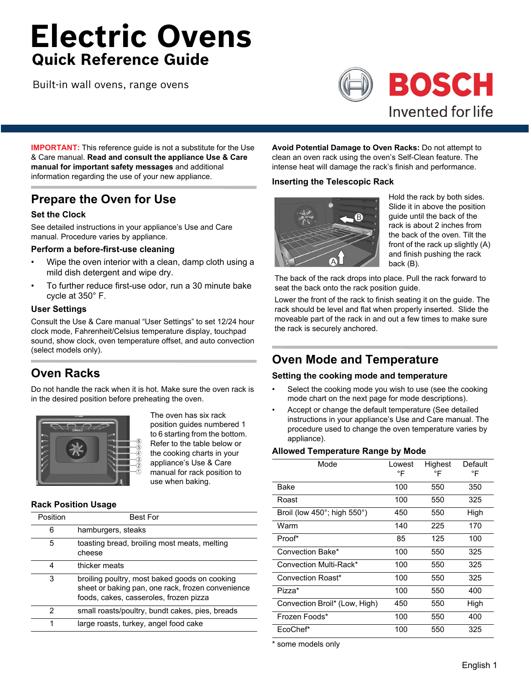# **Electric Ovens Quick Reference Guide**

Built-in wall ovens, range ovens



**IMPORTANT:** This reference guide is not a substitute for the Use & Care manual. **Read and consult the appliance Use & Care manual for important safety messages** and additional information regarding the use of your new appliance.

# **Prepare the Oven for Use**

## **Set the Clock**

See detailed instructions in your appliance's Use and Care manual. Procedure varies by appliance.

## **Perform a before-first-use cleaning**

- Wipe the oven interior with a clean, damp cloth using a mild dish detergent and wipe dry.
- To further reduce first-use odor, run a 30 minute bake cycle at 350° F.

## **User Settings**

Consult the Use & Care manual "User Settings" to set 12/24 hour clock mode, Fahrenheit/Celsius temperature display, touchpad sound, show clock, oven temperature offset, and auto convection (select models only).

# **Oven Racks**

Do not handle the rack when it is hot. Make sure the oven rack is in the desired position before preheating the oven.



The oven has six rack position guides numbered 1 to 6 starting from the bottom. Refer to the table below or the cooking charts in your appliance's Use & Care manual for rack position to use when baking.

# **Rack Position Usage**

| Position | <b>Best For</b>                                                                                                                              |
|----------|----------------------------------------------------------------------------------------------------------------------------------------------|
| 6        | hamburgers, steaks                                                                                                                           |
| 5        | toasting bread, broiling most meats, melting<br>cheese                                                                                       |
| 4        | thicker meats                                                                                                                                |
| 3        | broiling poultry, most baked goods on cooking<br>sheet or baking pan, one rack, frozen convenience<br>foods, cakes, casseroles, frozen pizza |
| 2        | small roasts/poultry, bundt cakes, pies, breads                                                                                              |
| 1        | large roasts, turkey, angel food cake                                                                                                        |

**Avoid Potential Damage to Oven Racks:** Do not attempt to clean an oven rack using the oven's Self-Clean feature. The intense heat will damage the rack's finish and performance.

## **Inserting the Telescopic Rack**



Hold the rack by both sides. Slide it in above the position guide until the back of the rack is about 2 inches from the back of the oven. Tilt the front of the rack up slightly (A) and finish pushing the rack back (B).

The back of the rack drops into place. Pull the rack forward to seat the back onto the rack position guide.

Lower the front of the rack to finish seating it on the guide. The rack should be level and flat when properly inserted. Slide the moveable part of the rack in and out a few times to make sure the rack is securely anchored.

# **Oven Mode and Temperature**

## **Setting the cooking mode and temperature**

- Select the cooking mode you wish to use (see the cooking mode chart on the next page for mode descriptions).
- Accept or change the default temperature (See detailed instructions in your appliance's Use and Care manual. The procedure used to change the oven temperature varies by appliance).

## **Allowed Temperature Range by Mode**

| Mode                                        | Lowest<br>°F | Highest<br>°F | Default<br>°F |
|---------------------------------------------|--------------|---------------|---------------|
| Bake                                        | 100          | 550           | 350           |
| Roast                                       | 100          | 550           | 325           |
| Broil (low $450^\circ$ ; high $550^\circ$ ) | 450          | 550           | High          |
| Warm                                        | 140          | 225           | 170           |
| Proof*                                      | 85           | 125           | 100           |
| Convection Bake*                            | 100          | 550           | 325           |
| Convection Multi-Rack*                      | 100          | 550           | 325           |
| Convection Roast*                           | 100          | 550           | 325           |
| Pizza*                                      | 100          | 550           | 400           |
| Convection Broil* (Low, High)               | 450          | 550           | High          |
| Frozen Foods*                               | 100          | 550           | 400           |
| EcoChef*                                    | 100          | 550           | 325           |

\* some models only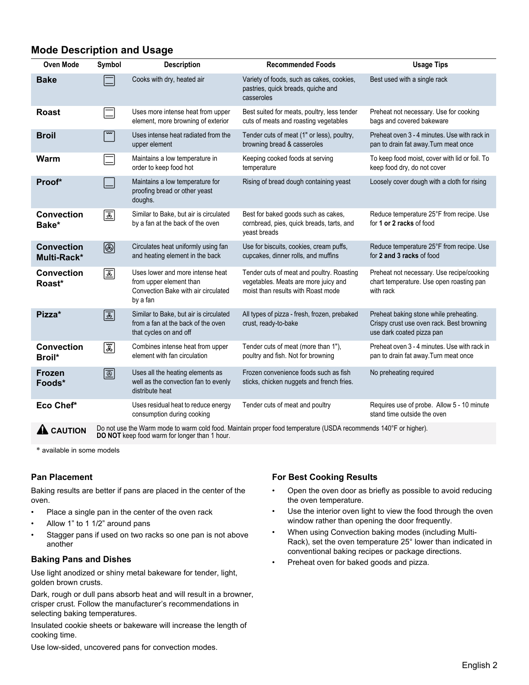# **Mode Description and Usage**

| <b>Oven Mode</b>                 | Symbol                                                                                                          | <b>Description</b>                                                                                             | <b>Recommended Foods</b>                                                                                                | <b>Usage Tips</b>                                                                                                |  |
|----------------------------------|-----------------------------------------------------------------------------------------------------------------|----------------------------------------------------------------------------------------------------------------|-------------------------------------------------------------------------------------------------------------------------|------------------------------------------------------------------------------------------------------------------|--|
| <b>Bake</b>                      |                                                                                                                 | Cooks with dry, heated air                                                                                     | Variety of foods, such as cakes, cookies,<br>pastries, quick breads, quiche and<br>casseroles                           | Best used with a single rack                                                                                     |  |
| <b>Roast</b>                     | $\equiv$                                                                                                        | Uses more intense heat from upper<br>element, more browning of exterior                                        | Best suited for meats, poultry, less tender<br>cuts of meats and roasting vegetables                                    | Preheat not necessary. Use for cooking<br>bags and covered bakeware                                              |  |
| <b>Broil</b>                     |                                                                                                                 | Uses intense heat radiated from the<br>upper element                                                           | Tender cuts of meat (1" or less), poultry,<br>browning bread & casseroles                                               | Preheat oven 3 - 4 minutes. Use with rack in<br>pan to drain fat away. Turn meat once                            |  |
| Warm                             |                                                                                                                 | Maintains a low temperature in<br>order to keep food hot                                                       | Keeping cooked foods at serving<br>temperature                                                                          | To keep food moist, cover with lid or foil. To<br>keep food dry, do not cover                                    |  |
| Proof*                           |                                                                                                                 | Maintains a low temperature for<br>proofing bread or other yeast<br>doughs.                                    | Rising of bread dough containing yeast                                                                                  | Loosely cover dough with a cloth for rising                                                                      |  |
| <b>Convection</b><br>Bake*       | 画                                                                                                               | Similar to Bake, but air is circulated<br>by a fan at the back of the oven                                     | Best for baked goods such as cakes,<br>cornbread, pies, quick breads, tarts, and<br>veast breads                        | Reduce temperature 25°F from recipe. Use<br>for 1 or 2 racks of food                                             |  |
| <b>Convection</b><br>Multi-Rack* | ◙                                                                                                               | Circulates heat uniformly using fan<br>and heating element in the back                                         | Use for biscuits, cookies, cream puffs,<br>cupcakes, dinner rolls, and muffins                                          | Reduce temperature 25°F from recipe. Use<br>for 2 and 3 racks of food                                            |  |
| <b>Convection</b><br>Roast*      | 国                                                                                                               | Uses lower and more intense heat<br>from upper element than<br>Convection Bake with air circulated<br>by a fan | Tender cuts of meat and poultry. Roasting<br>vegetables. Meats are more juicy and<br>moist than results with Roast mode | Preheat not necessary. Use recipe/cooking<br>chart temperature. Use open roasting pan<br>with rack               |  |
| Pizza*                           | $\overline{\mathbb{E}}$                                                                                         | Similar to Bake, but air is circulated<br>from a fan at the back of the oven<br>that cycles on and off         | All types of pizza - fresh, frozen, prebaked<br>crust, ready-to-bake                                                    | Preheat baking stone while preheating.<br>Crispy crust use oven rack. Best browning<br>use dark coated pizza pan |  |
| <b>Convection</b><br>Broil*      | 冨                                                                                                               | Combines intense heat from upper<br>element with fan circulation                                               | Tender cuts of meat (more than 1"),<br>poultry and fish. Not for browning                                               | Preheat oven 3 - 4 minutes. Use with rack in<br>pan to drain fat away. Turn meat once                            |  |
| <b>Frozen</b><br>Foods*          | $\boxed{\textcircled{\tiny{\#}}}$                                                                               | Uses all the heating elements as<br>well as the convection fan to evenly<br>distribute heat                    | Frozen convenience foods such as fish<br>sticks, chicken nuggets and french fries.                                      | No preheating required                                                                                           |  |
| Eco Chef*                        |                                                                                                                 | Uses residual heat to reduce energy<br>consumption during cooking                                              | Tender cuts of meat and poultry                                                                                         | Requires use of probe. Allow 5 - 10 minute<br>stand time outside the oven                                        |  |
| CALITION                         | Do not use the Warm mode to warm cold food. Maintain proper food temperature (USDA recommends 140°F or higher). |                                                                                                                |                                                                                                                         |                                                                                                                  |  |

**A CAUTION** Do not use the Warm mode to warm cold food. Maintain proper food temperature (USDA recommends 140°F or higher).<br>**DO NOT** keep food warm for longer than 1 hour.

\* available in some models

## **Pan Placement**

Baking results are better if pans are placed in the center of the oven.

- Place a single pan in the center of the oven rack
- Allow 1" to 1 1/2" around pans
- Stagger pans if used on two racks so one pan is not above another

## **Baking Pans and Dishes**

Use light anodized or shiny metal bakeware for tender, light, golden brown crusts.

Dark, rough or dull pans absorb heat and will result in a browner, crisper crust. Follow the manufacturer's recommendations in selecting baking temperatures.

Insulated cookie sheets or bakeware will increase the length of cooking time.

Use low-sided, uncovered pans for convection modes.

# **For Best Cooking Results**

- Open the oven door as briefly as possible to avoid reducing the oven temperature.
- Use the interior oven light to view the food through the oven window rather than opening the door frequently.
- When using Convection baking modes (including Multi-Rack), set the oven temperature 25° lower than indicated in conventional baking recipes or package directions.
- Preheat oven for baked goods and pizza.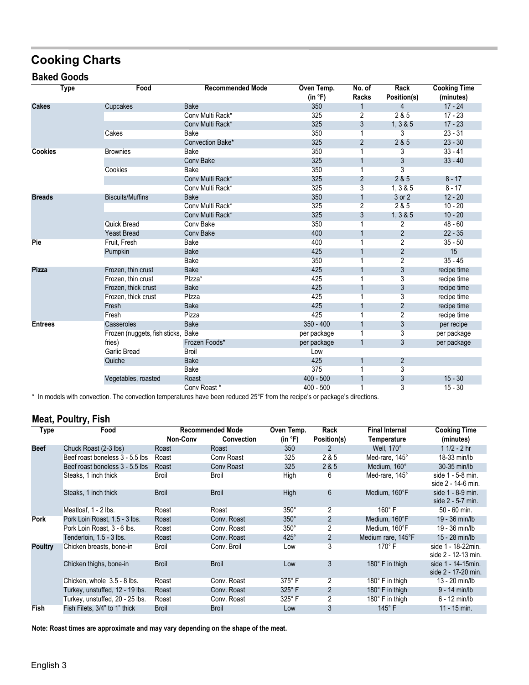# **Cooking Charts**

# **Baked Goods**

|                | Type | Food                               | <b>Recommended Mode</b> | Oven Temp.<br>(in °F) | No. of<br>Racks | <b>Rack</b><br>Position(s) | <b>Cooking Time</b><br>(minutes) |
|----------------|------|------------------------------------|-------------------------|-----------------------|-----------------|----------------------------|----------------------------------|
| <b>Cakes</b>   |      | Cupcakes                           | <b>Bake</b>             | 350                   |                 | $\overline{4}$             | $17 - 24$                        |
|                |      |                                    | Conv Multi Rack*        | 325                   | $\overline{2}$  | 2&5                        | $17 - 23$                        |
|                |      |                                    | Conv Multi Rack*        | 325                   | 3               | 1, 3 & 8 & 5               | $17 - 23$                        |
|                |      | Cakes                              | <b>Bake</b>             | 350                   |                 | 3                          | $23 - 31$                        |
|                |      |                                    | Convection Bake*        | 325                   | $\overline{2}$  | 2 & 5                      | $23 - 30$                        |
| <b>Cookies</b> |      | <b>Brownies</b>                    | <b>Bake</b>             | 350                   |                 | 3                          | $33 - 41$                        |
|                |      |                                    | Conv Bake               | 325                   |                 | 3                          | $33 - 40$                        |
|                |      | Cookies                            | <b>Bake</b>             | 350                   |                 | 3                          |                                  |
|                |      |                                    | Conv Multi Rack*        | 325                   | 2               | 2 & 5                      | $8 - 17$                         |
|                |      |                                    | Conv Multi Rack*        | 325                   | 3               | 1, 3 & 5                   | $8 - 17$                         |
| <b>Breads</b>  |      | <b>Biscuits/Muffins</b>            | <b>Bake</b>             | 350                   |                 | 3 or 2                     | $12 - 20$                        |
|                |      |                                    | Conv Multi Rack*        | 325                   | $\overline{2}$  | 2 & 5                      | $10 - 20$                        |
|                |      |                                    | Conv Multi Rack*        | 325                   | 3               | 1, 3 & 8 & 5               | $10 - 20$                        |
|                |      | <b>Quick Bread</b>                 | Conv Bake               | 350                   |                 | 2                          | $48 - 60$                        |
|                |      | <b>Yeast Bread</b>                 | <b>Conv Bake</b>        | 400                   |                 | 2                          | $22 - 35$                        |
| Pie            |      | Fruit, Fresh                       | <b>Bake</b>             | 400                   |                 | $\overline{2}$             | $35 - 50$                        |
|                |      | Pumpkin                            | <b>Bake</b>             | 425                   |                 | $\overline{2}$             | 15                               |
|                |      |                                    | <b>Bake</b>             | 350                   |                 | $\overline{2}$             | $35 - 45$                        |
| <b>Pizza</b>   |      | Frozen, thin crust                 | <b>Bake</b>             | 425                   |                 | 3                          | recipe time                      |
|                |      | Frozen, thin crust                 | Plzza*                  | 425                   |                 | $\overline{3}$             | recipe time                      |
|                |      | Frozen, thick crust                | <b>Bake</b>             | 425                   |                 | 3                          | recipe time                      |
|                |      | Frozen, thick crust                | Plzza                   | 425                   |                 | 3                          | recipe time                      |
|                |      | Fresh                              | <b>Bake</b>             | 425                   |                 | 2                          | recipe time                      |
|                |      | Fresh                              | Pizza                   | 425                   |                 | $\overline{2}$             | recipe time                      |
| <b>Entrees</b> |      | Casseroles                         | <b>Bake</b>             | $350 - 400$           |                 | 3                          | per recipe                       |
|                |      | Frozen (nuggets, fish sticks, Bake |                         | per package           |                 | $\overline{3}$             | per package                      |
|                |      | fries)                             | Frozen Foods*           | per package           | 1               | 3                          | per package                      |
|                |      | <b>Garlic Bread</b>                | <b>Broil</b>            | Low                   |                 |                            |                                  |
|                |      | Quiche                             | <b>Bake</b>             | 425                   | 1               | 2                          |                                  |
|                |      |                                    | <b>Bake</b>             | 375                   |                 | 3                          |                                  |
|                |      | Vegetables, roasted                | Roast                   | $400 - 500$           |                 | 3                          | $15 - 30$                        |
|                |      |                                    | Conv Roast*             | $400 - 500$           |                 | 3                          | $15 - 30$                        |

\* In models with convection. The convection temperatures have been reduced 25°F from the recipe's or package's directions.

# **Meat, Poultry, Fish**

| Type           | Food                            | <b>Recommended Mode</b> |              | Oven Temp.      | Rack           | <b>Final Internal</b>     | <b>Cooking Time</b>                       |
|----------------|---------------------------------|-------------------------|--------------|-----------------|----------------|---------------------------|-------------------------------------------|
|                |                                 | Non-Conv                | Convection   | (in °F)         | Position(s)    | Temperature               | (minutes)                                 |
| <b>Beef</b>    | Chuck Roast (2-3 lbs)           | Roast                   | Roast        | 350             | 2              | Well, 170°                | $11/2 - 2 hr$                             |
|                | Beef roast boneless 3 - 5.5 lbs | Roast                   | Conv Roast   | 325             | 2 & 5          | Med-rare, 145°            | 18-33 min/lb                              |
|                | Beef roast boneless 3 - 5.5 lbs | Roast                   | Conv Roast   | 325             | 2 & 5          | Medium, 160°              | 30-35 min/lb                              |
|                | Steaks, 1 inch thick            | <b>Broil</b>            | <b>Broil</b> | High            | 6              | Med-rare, 145°            | side 1 - 5-8 min.<br>side 2 - 14-6 min.   |
|                | Steaks, 1 inch thick            | <b>Broil</b>            | <b>Broil</b> | High            | 6              | Medium, 160°F             | side 1 - 8-9 min.<br>side 2 - 5-7 min.    |
|                | Meatloaf, 1 - 2 lbs.            | Roast                   | Roast        | $350^\circ$     | 2              | $160^\circ$ F             | 50 - 60 min.                              |
| <b>Pork</b>    | Pork Loin Roast, 1.5 - 3 lbs.   | Roast                   | Conv. Roast  | $350^\circ$     | $\overline{2}$ | Medium, 160°F             | 19 - 36 min/lb                            |
|                | Pork Loin Roast, 3 - 6 lbs.     | Roast                   | Conv. Roast  | $350^\circ$     | 2              | Medium, 160°F             | 19 - 36 min/lb                            |
|                | Tenderloin, 1.5 - 3 lbs.        | Roast                   | Conv. Roast  | $425^\circ$     | $\overline{2}$ | Medium rare, 145°F        | 15 - 28 min/lb                            |
| <b>Poultry</b> | Chicken breasts, bone-in        | Broil                   | Conv. Broil  | Low             | 3              | $170^\circ$ F             | side 1 - 18-22min.<br>side 2 - 12-13 min. |
|                | Chicken thighs, bone-in         | <b>Broil</b>            | <b>Broil</b> | Low             | 3              | 180 $^{\circ}$ F in thigh | side 1 - 14-15min.<br>side 2 - 17-20 min. |
|                | Chicken, whole 3.5 - 8 lbs.     | Roast                   | Conv. Roast  | $375^{\circ}$ F | $\overline{2}$ | $180^\circ$ F in thigh    | 13 - 20 min/lb                            |
|                | Turkey, unstuffed, 12 - 19 lbs. | Roast                   | Conv. Roast  | $325^\circ$ F   | 2              | 180 $^{\circ}$ F in thigh | $9 - 14$ min/lb                           |
|                | Turkey, unstuffed, 20 - 25 lbs. | Roast                   | Conv. Roast  | $325^\circ$ F   | $\overline{2}$ | $180^\circ$ F in thigh    | $6 - 12$ min/lb                           |
| <b>Fish</b>    | Fish Filets, 3/4" to 1" thick   | <b>Broil</b>            | <b>Broil</b> | Low             | 3              | $145^\circ$ F             | 11 - 15 min.                              |
|                |                                 |                         |              |                 |                |                           |                                           |

**Note: Roast times are approximate and may vary depending on the shape of the meat.**